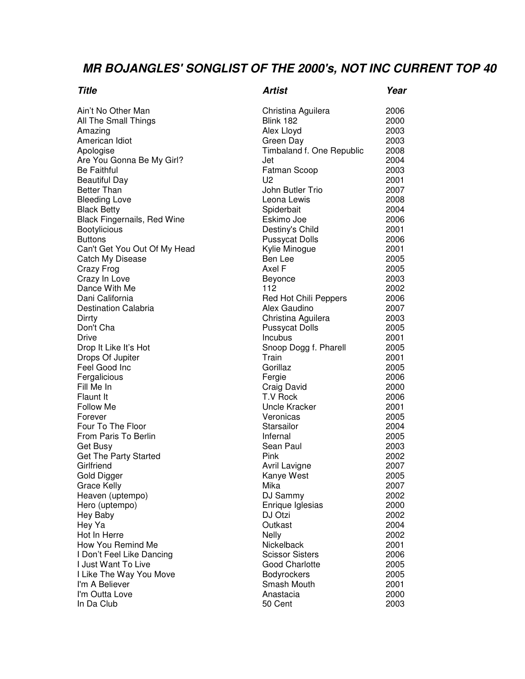## **MR BOJANGLES' SONGLIST OF THE 2000's, NOT INC CURRENT TOP 40**

| Title                              | Artist                       | Year |
|------------------------------------|------------------------------|------|
| Ain't No Other Man                 | Christina Aguilera           | 2006 |
| All The Small Things               | Blink 182                    | 2000 |
| Amazing                            | Alex Lloyd                   | 2003 |
| American Idiot                     | Green Day                    | 2003 |
| Apologise                          | Timbaland f. One Republic    | 2008 |
| Are You Gonna Be My Girl?          | Jet                          | 2004 |
| <b>Be Faithful</b>                 | <b>Fatman Scoop</b>          | 2003 |
| <b>Beautiful Day</b>               | U <sub>2</sub>               | 2001 |
| <b>Better Than</b>                 | John Butler Trio             | 2007 |
| <b>Bleeding Love</b>               | Leona Lewis                  | 2008 |
| <b>Black Betty</b>                 | Spiderbait                   | 2004 |
| <b>Black Fingernails, Red Wine</b> | Eskimo Joe                   | 2006 |
| <b>Bootylicious</b>                | Destiny's Child              | 2001 |
| <b>Buttons</b>                     | <b>Pussycat Dolls</b>        | 2006 |
| Can't Get You Out Of My Head       | Kylie Minogue                | 2001 |
| Catch My Disease                   | Ben Lee                      | 2005 |
| Crazy Frog                         | Axel F                       | 2005 |
| Crazy In Love                      | Beyonce                      | 2003 |
| Dance With Me                      | 112                          | 2002 |
| Dani California                    | <b>Red Hot Chili Peppers</b> | 2006 |
| <b>Destination Calabria</b>        | Alex Gaudino                 | 2007 |
| Dirrty                             | Christina Aguilera           | 2003 |
| Don't Cha                          | <b>Pussycat Dolls</b>        | 2005 |
| Drive                              | Incubus                      | 2001 |
| Drop It Like It's Hot              | Snoop Dogg f. Pharell        | 2005 |
| Drops Of Jupiter                   | Train                        | 2001 |
| Feel Good Inc                      | Gorillaz                     | 2005 |
| Fergalicious                       | Fergie                       | 2006 |
| Fill Me In                         | Craig David                  | 2000 |
| Flaunt It                          | T.V Rock                     | 2006 |
| Follow Me                          | Uncle Kracker                | 2001 |
| Forever                            | Veronicas                    | 2005 |
| Four To The Floor                  | Starsailor                   | 2004 |
| From Paris To Berlin               | Infernal                     | 2005 |
| Get Busy                           | Sean Paul                    | 2003 |
| Get The Party Started              | Pink                         | 2002 |
| Girlfriend                         | Avril Lavigne                | 2007 |
| Gold Digger                        | Kanye West                   | 2005 |
| Grace Kelly                        | Mika                         | 2007 |
| Heaven (uptempo)                   | DJ Sammy                     | 2002 |
| Hero (uptempo)                     | Enrique Iglesias             | 2000 |
| Hey Baby                           | DJ Otzi                      | 2002 |
| Hey Ya                             | Outkast                      | 2004 |
| Hot In Herre                       | Nelly                        | 2002 |
| How You Remind Me                  | Nickelback                   | 2001 |
| I Don't Feel Like Dancing          | <b>Scissor Sisters</b>       | 2006 |
| I Just Want To Live                | <b>Good Charlotte</b>        | 2005 |
| I Like The Way You Move            | Bodyrockers                  | 2005 |
| I'm A Believer                     | Smash Mouth                  | 2001 |
| I'm Outta Love                     | Anastacia                    | 2000 |
| In Da Club                         | 50 Cent                      | 2003 |